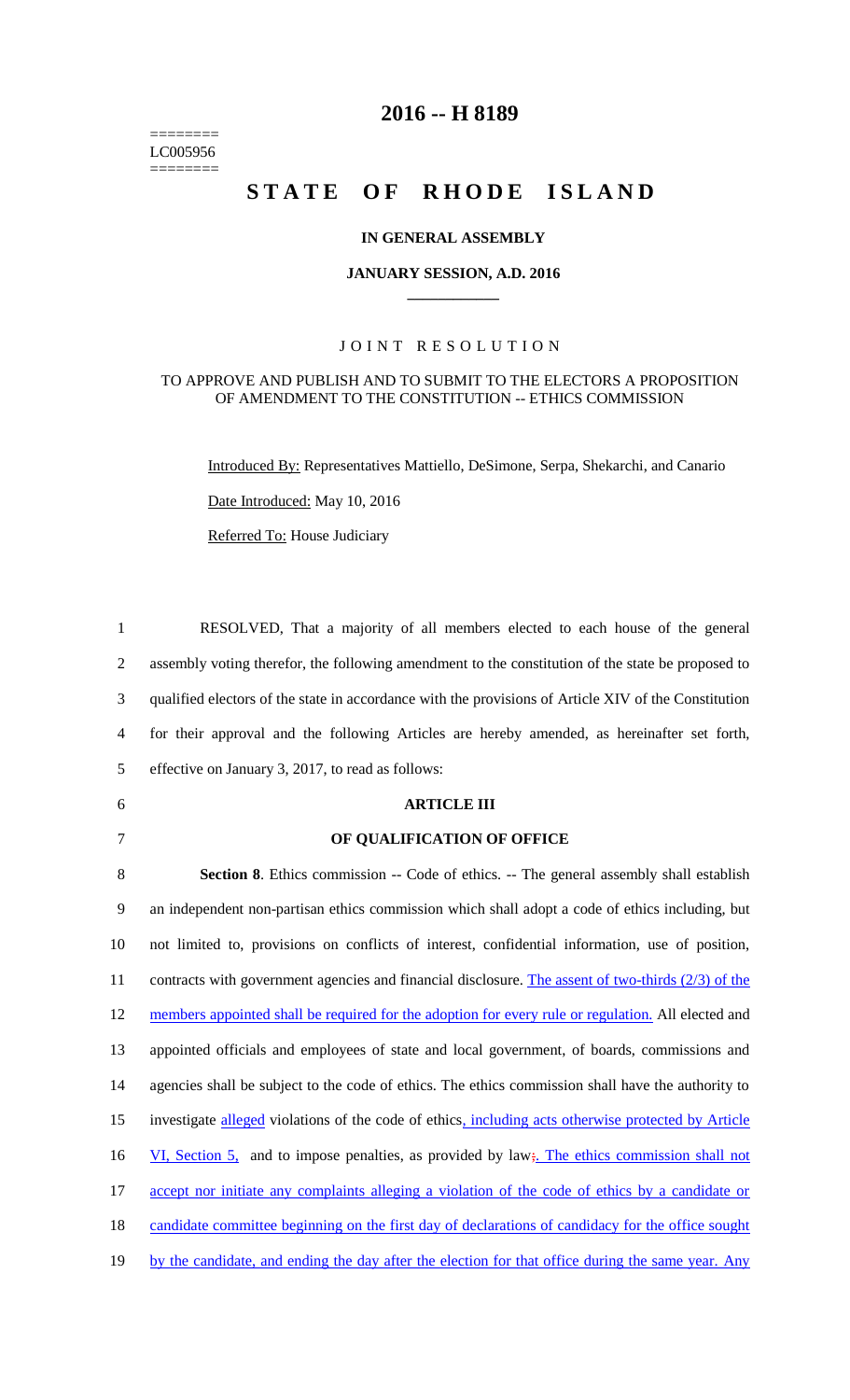======== LC005956  $=$ 

# **2016 -- H 8189**

# STATE OF RHODE ISLAND

### **IN GENERAL ASSEMBLY**

#### **JANUARY SESSION, A.D. 2016 \_\_\_\_\_\_\_\_\_\_\_\_**

## JOINT RESOLUTION

#### TO APPROVE AND PUBLISH AND TO SUBMIT TO THE ELECTORS A PROPOSITION OF AMENDMENT TO THE CONSTITUTION -- ETHICS COMMISSION

Introduced By: Representatives Mattiello, DeSimone, Serpa, Shekarchi, and Canario

Date Introduced: May 10, 2016

Referred To: House Judiciary

| $\mathbf{1}$             | RESOLVED, That a majority of all members elected to each house of the general                        |
|--------------------------|------------------------------------------------------------------------------------------------------|
| $\overline{2}$           | assembly voting therefor, the following amendment to the constitution of the state be proposed to    |
| 3                        | qualified electors of the state in accordance with the provisions of Article XIV of the Constitution |
| $\overline{\mathcal{A}}$ | for their approval and the following Articles are hereby amended, as hereinafter set forth,          |
| 5                        | effective on January 3, 2017, to read as follows:                                                    |
| 6                        | <b>ARTICLE III</b>                                                                                   |
| $\tau$                   | OF QUALIFICATION OF OFFICE                                                                           |
| 8                        | <b>Section 8.</b> Ethics commission -- Code of ethics. -- The general assembly shall establish       |
| 9                        | an independent non-partisan ethics commission which shall adopt a code of ethics including, but      |
| 10                       | not limited to, provisions on conflicts of interest, confidential information, use of position,      |
| 11                       | contracts with government agencies and financial disclosure. The assent of two-thirds $(2/3)$ of the |
| 12                       | members appointed shall be required for the adoption for every rule or regulation. All elected and   |
| 13                       | appointed officials and employees of state and local government, of boards, commissions and          |
| 14                       | agencies shall be subject to the code of ethics. The ethics commission shall have the authority to   |
| 15                       | investigate alleged violations of the code of ethics, including acts otherwise protected by Article  |
| 16                       | VI, Section 5, and to impose penalties, as provided by law; The ethics commission shall not          |
| 17                       | accept nor initiate any complaints alleging a violation of the code of ethics by a candidate or      |
| 18                       | candidate committee beginning on the first day of declarations of candidacy for the office sought    |
| 19                       | by the candidate, and ending the day after the election for that office during the same year. Any    |